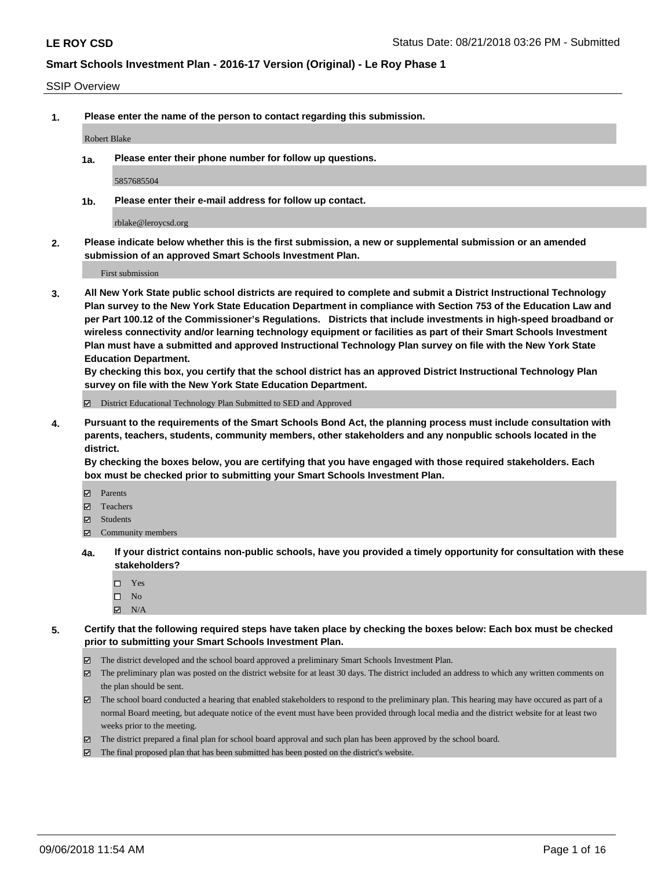#### SSIP Overview

**1. Please enter the name of the person to contact regarding this submission.**

#### Robert Blake

**1a. Please enter their phone number for follow up questions.**

5857685504

**1b. Please enter their e-mail address for follow up contact.**

rblake@leroycsd.org

**2. Please indicate below whether this is the first submission, a new or supplemental submission or an amended submission of an approved Smart Schools Investment Plan.**

First submission

**3. All New York State public school districts are required to complete and submit a District Instructional Technology Plan survey to the New York State Education Department in compliance with Section 753 of the Education Law and per Part 100.12 of the Commissioner's Regulations. Districts that include investments in high-speed broadband or wireless connectivity and/or learning technology equipment or facilities as part of their Smart Schools Investment Plan must have a submitted and approved Instructional Technology Plan survey on file with the New York State Education Department.** 

**By checking this box, you certify that the school district has an approved District Instructional Technology Plan survey on file with the New York State Education Department.**

District Educational Technology Plan Submitted to SED and Approved

**4. Pursuant to the requirements of the Smart Schools Bond Act, the planning process must include consultation with parents, teachers, students, community members, other stakeholders and any nonpublic schools located in the district.** 

**By checking the boxes below, you are certifying that you have engaged with those required stakeholders. Each box must be checked prior to submitting your Smart Schools Investment Plan.**

- **Parents**
- Teachers
- **☑** Students
- **☑** Community members
- **4a. If your district contains non-public schools, have you provided a timely opportunity for consultation with these stakeholders?**
	- Yes
	- $\square$  No
	- $\boxtimes$  N/A
- **5. Certify that the following required steps have taken place by checking the boxes below: Each box must be checked prior to submitting your Smart Schools Investment Plan.**
	- The district developed and the school board approved a preliminary Smart Schools Investment Plan.
	- $\boxtimes$  The preliminary plan was posted on the district website for at least 30 days. The district included an address to which any written comments on the plan should be sent.
	- The school board conducted a hearing that enabled stakeholders to respond to the preliminary plan. This hearing may have occured as part of a normal Board meeting, but adequate notice of the event must have been provided through local media and the district website for at least two weeks prior to the meeting.
	- The district prepared a final plan for school board approval and such plan has been approved by the school board.
	- The final proposed plan that has been submitted has been posted on the district's website.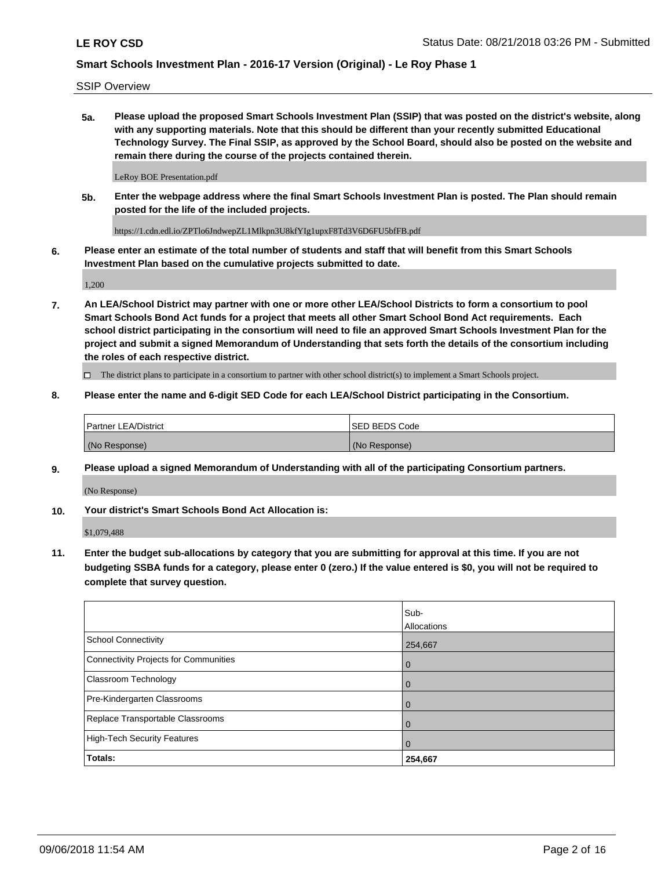SSIP Overview

**5a. Please upload the proposed Smart Schools Investment Plan (SSIP) that was posted on the district's website, along with any supporting materials. Note that this should be different than your recently submitted Educational Technology Survey. The Final SSIP, as approved by the School Board, should also be posted on the website and remain there during the course of the projects contained therein.**

LeRoy BOE Presentation.pdf

**5b. Enter the webpage address where the final Smart Schools Investment Plan is posted. The Plan should remain posted for the life of the included projects.**

https://1.cdn.edl.io/ZPTlo6JndwepZL1Mlkpn3U8kfYIg1upxF8Td3V6D6FU5bfFB.pdf

**6. Please enter an estimate of the total number of students and staff that will benefit from this Smart Schools Investment Plan based on the cumulative projects submitted to date.**

1,200

**7. An LEA/School District may partner with one or more other LEA/School Districts to form a consortium to pool Smart Schools Bond Act funds for a project that meets all other Smart School Bond Act requirements. Each school district participating in the consortium will need to file an approved Smart Schools Investment Plan for the project and submit a signed Memorandum of Understanding that sets forth the details of the consortium including the roles of each respective district.**

 $\Box$  The district plans to participate in a consortium to partner with other school district(s) to implement a Smart Schools project.

#### **8. Please enter the name and 6-digit SED Code for each LEA/School District participating in the Consortium.**

| Partner LEA/District | <b>ISED BEDS Code</b> |
|----------------------|-----------------------|
| (No Response)        | (No Response)         |

#### **9. Please upload a signed Memorandum of Understanding with all of the participating Consortium partners.**

(No Response)

**10. Your district's Smart Schools Bond Act Allocation is:**

\$1,079,488

**11. Enter the budget sub-allocations by category that you are submitting for approval at this time. If you are not budgeting SSBA funds for a category, please enter 0 (zero.) If the value entered is \$0, you will not be required to complete that survey question.**

|                                       | Sub-           |
|---------------------------------------|----------------|
|                                       | Allocations    |
| School Connectivity                   | 254,667        |
| Connectivity Projects for Communities | $\overline{0}$ |
| <b>Classroom Technology</b>           | $\overline{0}$ |
| Pre-Kindergarten Classrooms           | $\Omega$       |
| Replace Transportable Classrooms      | $\Omega$       |
| High-Tech Security Features           | $\Omega$       |
| Totals:                               | 254,667        |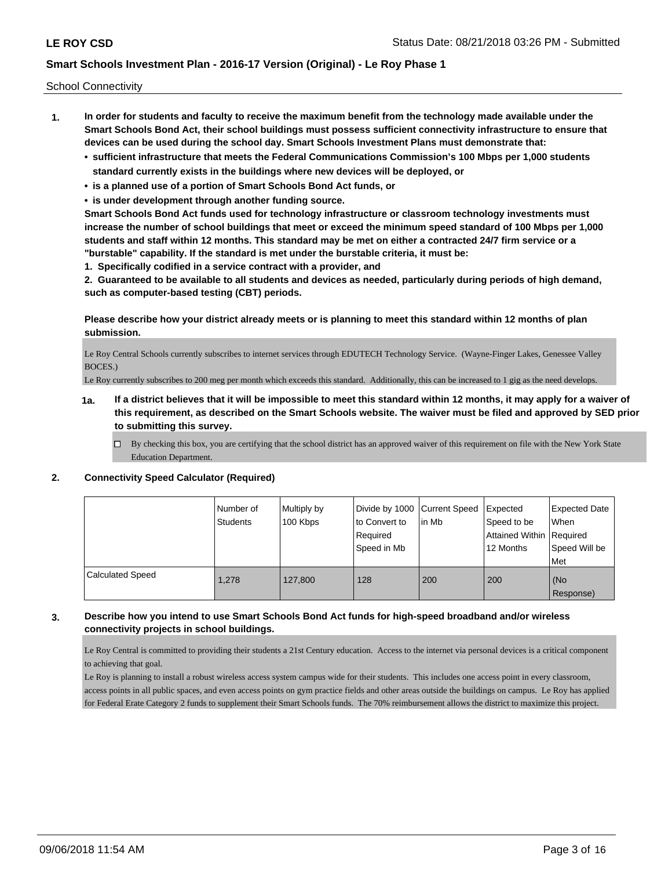School Connectivity

- **1. In order for students and faculty to receive the maximum benefit from the technology made available under the Smart Schools Bond Act, their school buildings must possess sufficient connectivity infrastructure to ensure that devices can be used during the school day. Smart Schools Investment Plans must demonstrate that:**
	- **• sufficient infrastructure that meets the Federal Communications Commission's 100 Mbps per 1,000 students standard currently exists in the buildings where new devices will be deployed, or**
	- **• is a planned use of a portion of Smart Schools Bond Act funds, or**
	- **• is under development through another funding source.**

**Smart Schools Bond Act funds used for technology infrastructure or classroom technology investments must increase the number of school buildings that meet or exceed the minimum speed standard of 100 Mbps per 1,000 students and staff within 12 months. This standard may be met on either a contracted 24/7 firm service or a "burstable" capability. If the standard is met under the burstable criteria, it must be:**

**1. Specifically codified in a service contract with a provider, and**

**2. Guaranteed to be available to all students and devices as needed, particularly during periods of high demand, such as computer-based testing (CBT) periods.**

**Please describe how your district already meets or is planning to meet this standard within 12 months of plan submission.**

Le Roy Central Schools currently subscribes to internet services through EDUTECH Technology Service. (Wayne-Finger Lakes, Genessee Valley BOCES.)

Le Roy currently subscribes to 200 meg per month which exceeds this standard. Additionally, this can be increased to 1 gig as the need develops.

- **1a. If a district believes that it will be impossible to meet this standard within 12 months, it may apply for a waiver of this requirement, as described on the Smart Schools website. The waiver must be filed and approved by SED prior to submitting this survey.**
	- $\Box$  By checking this box, you are certifying that the school district has an approved waiver of this requirement on file with the New York State Education Department.

### **2. Connectivity Speed Calculator (Required)**

|                         | I Number of<br><b>Students</b> | Multiply by<br>100 Kbps | Divide by 1000 Current Speed<br>to Convert to<br>Required<br>Speed in Mb | lin Mb | Expected<br>Speed to be<br>Attained Within   Required<br>12 Months | <b>Expected Date</b><br>When<br>Speed Will be<br><b>Met</b> |
|-------------------------|--------------------------------|-------------------------|--------------------------------------------------------------------------|--------|--------------------------------------------------------------------|-------------------------------------------------------------|
| <b>Calculated Speed</b> | 1.278                          | 127,800                 | 128                                                                      | 200    | 200                                                                | l (No<br>Response)                                          |

### **3. Describe how you intend to use Smart Schools Bond Act funds for high-speed broadband and/or wireless connectivity projects in school buildings.**

Le Roy Central is committed to providing their students a 21st Century education. Access to the internet via personal devices is a critical component to achieving that goal.

Le Roy is planning to install a robust wireless access system campus wide for their students. This includes one access point in every classroom, access points in all public spaces, and even access points on gym practice fields and other areas outside the buildings on campus. Le Roy has applied for Federal Erate Category 2 funds to supplement their Smart Schools funds. The 70% reimbursement allows the district to maximize this project.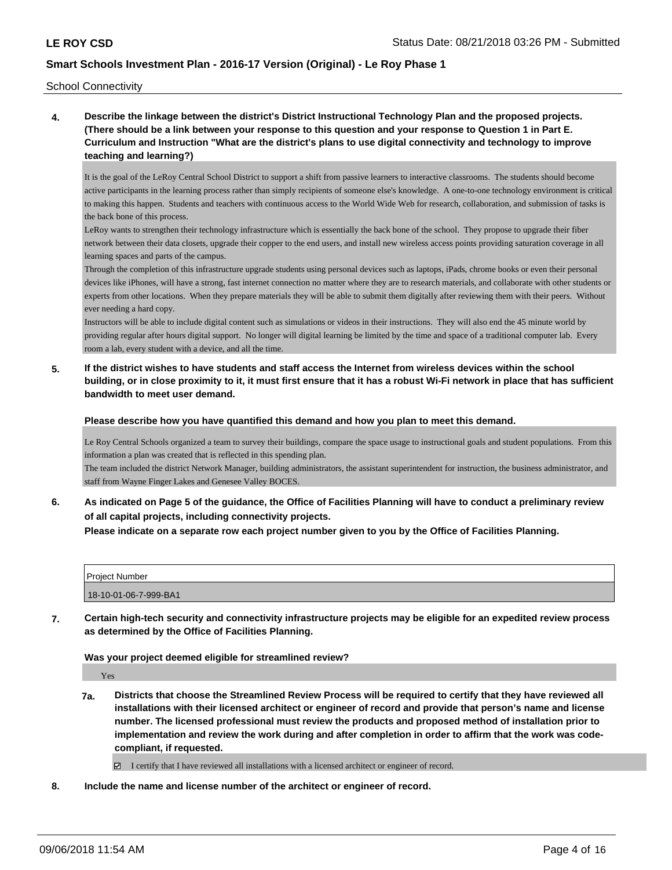School Connectivity

**4. Describe the linkage between the district's District Instructional Technology Plan and the proposed projects. (There should be a link between your response to this question and your response to Question 1 in Part E. Curriculum and Instruction "What are the district's plans to use digital connectivity and technology to improve teaching and learning?)**

It is the goal of the LeRoy Central School District to support a shift from passive learners to interactive classrooms. The students should become active participants in the learning process rather than simply recipients of someone else's knowledge. A one-to-one technology environment is critical to making this happen. Students and teachers with continuous access to the World Wide Web for research, collaboration, and submission of tasks is the back bone of this process.

LeRoy wants to strengthen their technology infrastructure which is essentially the back bone of the school. They propose to upgrade their fiber network between their data closets, upgrade their copper to the end users, and install new wireless access points providing saturation coverage in all learning spaces and parts of the campus.

Through the completion of this infrastructure upgrade students using personal devices such as laptops, iPads, chrome books or even their personal devices like iPhones, will have a strong, fast internet connection no matter where they are to research materials, and collaborate with other students or experts from other locations. When they prepare materials they will be able to submit them digitally after reviewing them with their peers. Without ever needing a hard copy.

Instructors will be able to include digital content such as simulations or videos in their instructions. They will also end the 45 minute world by providing regular after hours digital support. No longer will digital learning be limited by the time and space of a traditional computer lab. Every room a lab, every student with a device, and all the time.

**5. If the district wishes to have students and staff access the Internet from wireless devices within the school building, or in close proximity to it, it must first ensure that it has a robust Wi-Fi network in place that has sufficient bandwidth to meet user demand.**

**Please describe how you have quantified this demand and how you plan to meet this demand.**

Le Roy Central Schools organized a team to survey their buildings, compare the space usage to instructional goals and student populations. From this information a plan was created that is reflected in this spending plan.

The team included the district Network Manager, building administrators, the assistant superintendent for instruction, the business administrator, and staff from Wayne Finger Lakes and Genesee Valley BOCES.

**6. As indicated on Page 5 of the guidance, the Office of Facilities Planning will have to conduct a preliminary review of all capital projects, including connectivity projects.**

**Please indicate on a separate row each project number given to you by the Office of Facilities Planning.**

| <b>Project Number</b> |  |
|-----------------------|--|
| 18-10-01-06-7-999-BA1 |  |

**7. Certain high-tech security and connectivity infrastructure projects may be eligible for an expedited review process as determined by the Office of Facilities Planning.**

**Was your project deemed eligible for streamlined review?**

Yes

**7a. Districts that choose the Streamlined Review Process will be required to certify that they have reviewed all installations with their licensed architect or engineer of record and provide that person's name and license number. The licensed professional must review the products and proposed method of installation prior to implementation and review the work during and after completion in order to affirm that the work was codecompliant, if requested.**

I certify that I have reviewed all installations with a licensed architect or engineer of record.

**8. Include the name and license number of the architect or engineer of record.**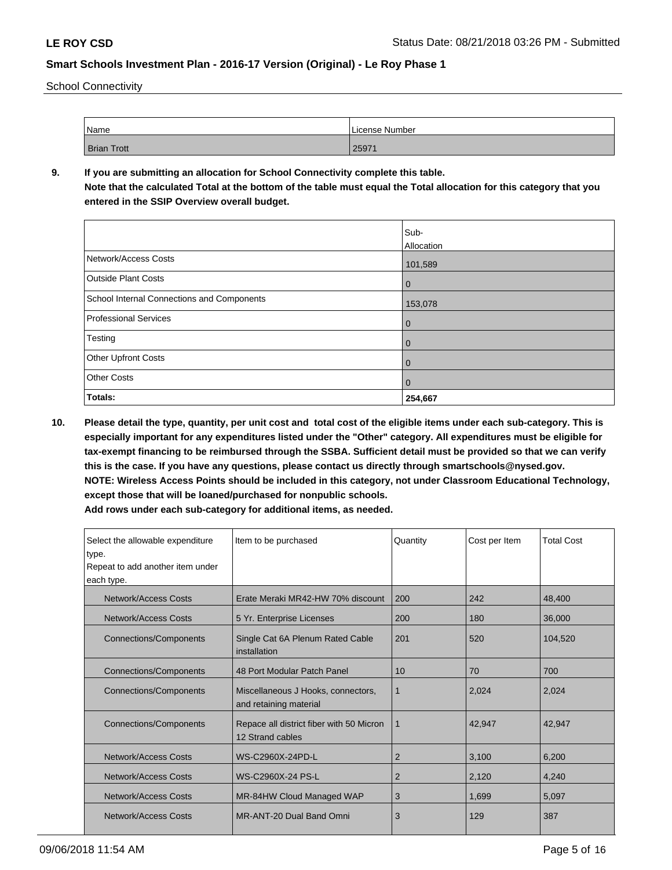School Connectivity

| Name               | License Number |
|--------------------|----------------|
| <b>Brian Trott</b> | 25971          |

### **9. If you are submitting an allocation for School Connectivity complete this table.**

**Note that the calculated Total at the bottom of the table must equal the Total allocation for this category that you entered in the SSIP Overview overall budget.** 

|                                            | Sub-         |
|--------------------------------------------|--------------|
|                                            | Allocation   |
| Network/Access Costs                       | 101,589      |
| <b>Outside Plant Costs</b>                 | $\mathbf{0}$ |
| School Internal Connections and Components | 153,078      |
| <b>Professional Services</b>               | $\mathbf{0}$ |
| Testing                                    | $\mathbf{0}$ |
| <b>Other Upfront Costs</b>                 | $\mathbf 0$  |
| <b>Other Costs</b>                         | $\mathbf{0}$ |
| Totals:                                    | 254,667      |

**10. Please detail the type, quantity, per unit cost and total cost of the eligible items under each sub-category. This is especially important for any expenditures listed under the "Other" category. All expenditures must be eligible for tax-exempt financing to be reimbursed through the SSBA. Sufficient detail must be provided so that we can verify this is the case. If you have any questions, please contact us directly through smartschools@nysed.gov. NOTE: Wireless Access Points should be included in this category, not under Classroom Educational Technology, except those that will be loaned/purchased for nonpublic schools.**

| Select the allowable expenditure<br>type.<br>Repeat to add another item under<br>each type. | Item to be purchased                                         | Quantity       | Cost per Item | <b>Total Cost</b> |
|---------------------------------------------------------------------------------------------|--------------------------------------------------------------|----------------|---------------|-------------------|
| <b>Network/Access Costs</b>                                                                 | Erate Meraki MR42-HW 70% discount                            | 200            | 242           | 48,400            |
| Network/Access Costs                                                                        | 5 Yr. Enterprise Licenses                                    | 200            | 180           | 36,000            |
| <b>Connections/Components</b>                                                               | Single Cat 6A Plenum Rated Cable<br>installation             | 201            | 520           | 104,520           |
| Connections/Components                                                                      | 48 Port Modular Patch Panel                                  | 10             | 70            | 700               |
| <b>Connections/Components</b>                                                               | Miscellaneous J Hooks, connectors,<br>and retaining material | 1              | 2,024         | 2,024             |
| <b>Connections/Components</b>                                                               | Repace all district fiber with 50 Micron<br>12 Strand cables | 1              | 42.947        | 42.947            |
| Network/Access Costs                                                                        | WS-C2960X-24PD-L                                             | 2              | 3,100         | 6,200             |
| Network/Access Costs                                                                        | WS-C2960X-24 PS-L                                            | $\overline{2}$ | 2,120         | 4,240             |
| Network/Access Costs                                                                        | MR-84HW Cloud Managed WAP                                    | 3              | 1,699         | 5,097             |
| Network/Access Costs                                                                        | MR-ANT-20 Dual Band Omni                                     | 3              | 129           | 387               |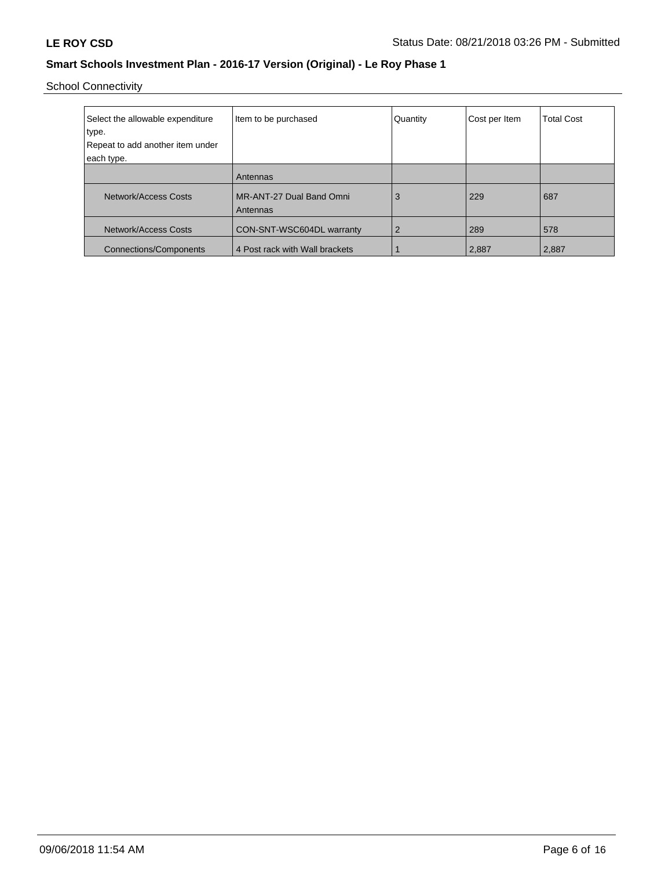School Connectivity

| Select the allowable expenditure<br>type.<br>Repeat to add another item under<br>each type. | Item to be purchased                 | Quantity | Cost per Item | <b>Total Cost</b> |
|---------------------------------------------------------------------------------------------|--------------------------------------|----------|---------------|-------------------|
|                                                                                             | Antennas                             |          |               |                   |
| Network/Access Costs                                                                        | MR-ANT-27 Dual Band Omni<br>Antennas | 3        | 229           | 687               |
| Network/Access Costs                                                                        | CON-SNT-WSC604DL warranty            | 2        | 289           | 578               |
| <b>Connections/Components</b>                                                               | 4 Post rack with Wall brackets       |          | 2,887         | 2,887             |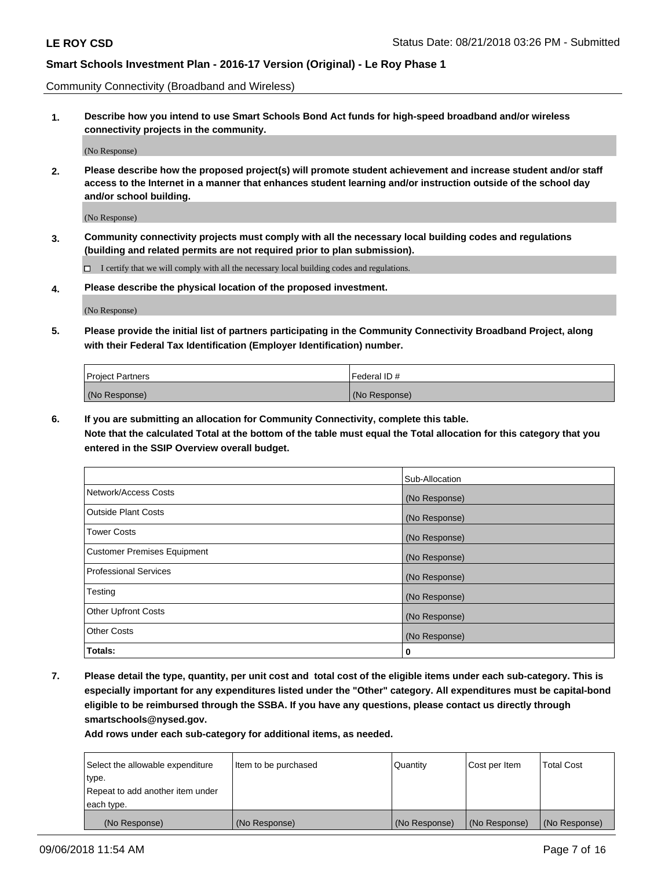Community Connectivity (Broadband and Wireless)

**1. Describe how you intend to use Smart Schools Bond Act funds for high-speed broadband and/or wireless connectivity projects in the community.**

(No Response)

**2. Please describe how the proposed project(s) will promote student achievement and increase student and/or staff access to the Internet in a manner that enhances student learning and/or instruction outside of the school day and/or school building.**

(No Response)

**3. Community connectivity projects must comply with all the necessary local building codes and regulations (building and related permits are not required prior to plan submission).**

 $\Box$  I certify that we will comply with all the necessary local building codes and regulations.

**4. Please describe the physical location of the proposed investment.**

(No Response)

**5. Please provide the initial list of partners participating in the Community Connectivity Broadband Project, along with their Federal Tax Identification (Employer Identification) number.**

| <b>Project Partners</b> | Federal ID#   |
|-------------------------|---------------|
| (No Response)           | (No Response) |

**6. If you are submitting an allocation for Community Connectivity, complete this table.**

**Note that the calculated Total at the bottom of the table must equal the Total allocation for this category that you entered in the SSIP Overview overall budget.**

|                             | Sub-Allocation |
|-----------------------------|----------------|
| Network/Access Costs        | (No Response)  |
| <b>Outside Plant Costs</b>  | (No Response)  |
| <b>Tower Costs</b>          | (No Response)  |
| Customer Premises Equipment | (No Response)  |
| Professional Services       | (No Response)  |
| Testing                     | (No Response)  |
| <b>Other Upfront Costs</b>  | (No Response)  |
| <b>Other Costs</b>          | (No Response)  |
| Totals:                     | 0              |

**7. Please detail the type, quantity, per unit cost and total cost of the eligible items under each sub-category. This is especially important for any expenditures listed under the "Other" category. All expenditures must be capital-bond eligible to be reimbursed through the SSBA. If you have any questions, please contact us directly through smartschools@nysed.gov.**

| Select the allowable expenditure | Item to be purchased | Quantity      | Cost per Item | <b>Total Cost</b> |
|----------------------------------|----------------------|---------------|---------------|-------------------|
| type.                            |                      |               |               |                   |
| Repeat to add another item under |                      |               |               |                   |
| each type.                       |                      |               |               |                   |
| (No Response)                    | (No Response)        | (No Response) | (No Response) | (No Response)     |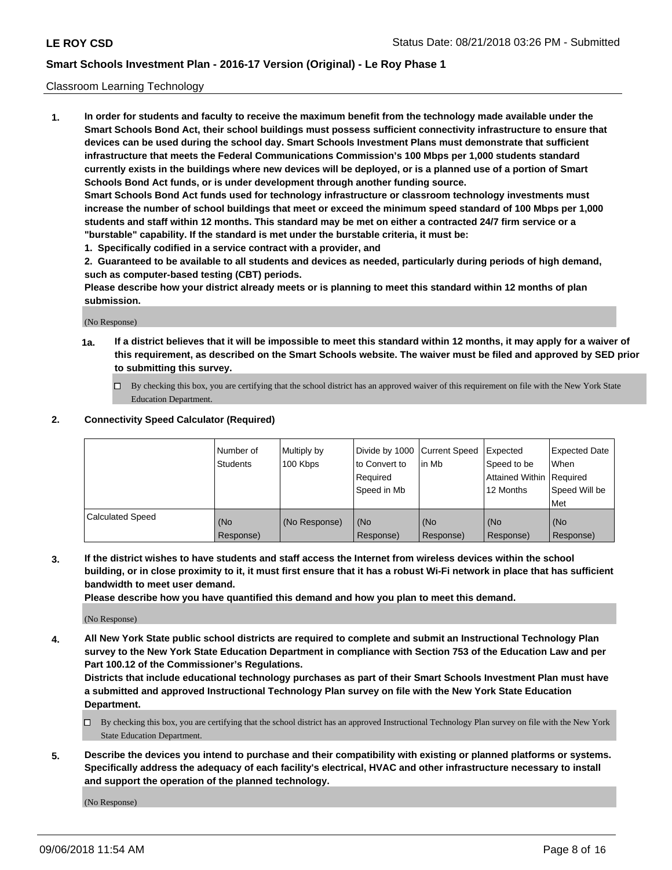### Classroom Learning Technology

**1. In order for students and faculty to receive the maximum benefit from the technology made available under the Smart Schools Bond Act, their school buildings must possess sufficient connectivity infrastructure to ensure that devices can be used during the school day. Smart Schools Investment Plans must demonstrate that sufficient infrastructure that meets the Federal Communications Commission's 100 Mbps per 1,000 students standard currently exists in the buildings where new devices will be deployed, or is a planned use of a portion of Smart Schools Bond Act funds, or is under development through another funding source. Smart Schools Bond Act funds used for technology infrastructure or classroom technology investments must increase the number of school buildings that meet or exceed the minimum speed standard of 100 Mbps per 1,000**

**students and staff within 12 months. This standard may be met on either a contracted 24/7 firm service or a "burstable" capability. If the standard is met under the burstable criteria, it must be:**

**1. Specifically codified in a service contract with a provider, and**

**2. Guaranteed to be available to all students and devices as needed, particularly during periods of high demand, such as computer-based testing (CBT) periods.**

**Please describe how your district already meets or is planning to meet this standard within 12 months of plan submission.**

(No Response)

- **1a. If a district believes that it will be impossible to meet this standard within 12 months, it may apply for a waiver of this requirement, as described on the Smart Schools website. The waiver must be filed and approved by SED prior to submitting this survey.**
	- By checking this box, you are certifying that the school district has an approved waiver of this requirement on file with the New York State Education Department.

#### **2. Connectivity Speed Calculator (Required)**

|                         | I Number of<br>Students | Multiply by<br>100 Kbps | to Convert to<br>Required<br>Speed in Mb | Divide by 1000 Current Speed Expected<br>lin Mb | Speed to be<br>Attained Within Required<br>12 Months | <b>Expected Date</b><br>When<br>Speed Will be<br>Met |
|-------------------------|-------------------------|-------------------------|------------------------------------------|-------------------------------------------------|------------------------------------------------------|------------------------------------------------------|
| <b>Calculated Speed</b> | (No<br>Response)        | (No Response)           | (No<br>Response)                         | (No<br>Response)                                | (No<br>Response)                                     | (No<br>Response)                                     |

**3. If the district wishes to have students and staff access the Internet from wireless devices within the school building, or in close proximity to it, it must first ensure that it has a robust Wi-Fi network in place that has sufficient bandwidth to meet user demand.**

**Please describe how you have quantified this demand and how you plan to meet this demand.**

(No Response)

**4. All New York State public school districts are required to complete and submit an Instructional Technology Plan survey to the New York State Education Department in compliance with Section 753 of the Education Law and per Part 100.12 of the Commissioner's Regulations.**

**Districts that include educational technology purchases as part of their Smart Schools Investment Plan must have a submitted and approved Instructional Technology Plan survey on file with the New York State Education Department.**

- $\Box$  By checking this box, you are certifying that the school district has an approved Instructional Technology Plan survey on file with the New York State Education Department.
- **5. Describe the devices you intend to purchase and their compatibility with existing or planned platforms or systems. Specifically address the adequacy of each facility's electrical, HVAC and other infrastructure necessary to install and support the operation of the planned technology.**

(No Response)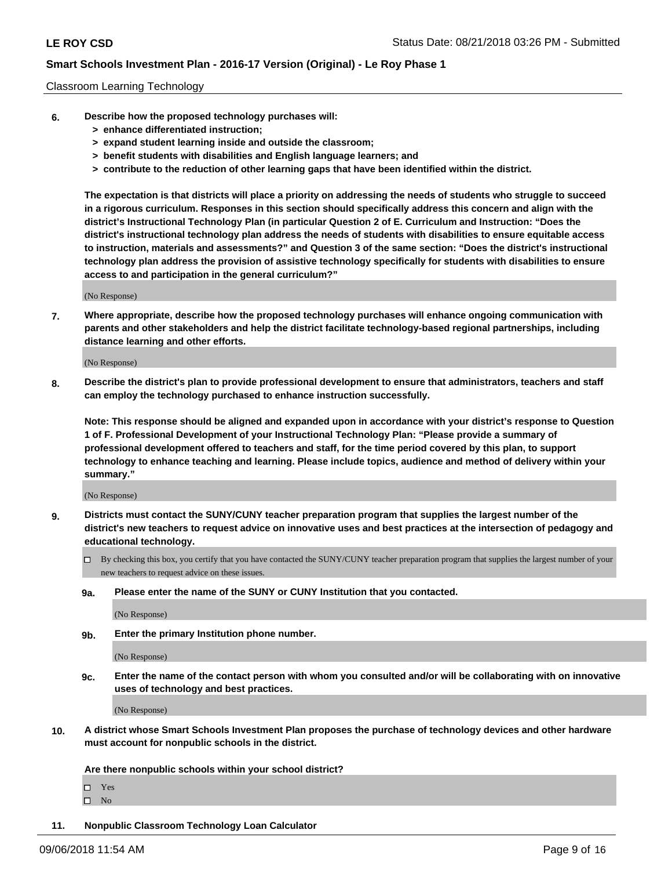#### Classroom Learning Technology

- **6. Describe how the proposed technology purchases will:**
	- **> enhance differentiated instruction;**
	- **> expand student learning inside and outside the classroom;**
	- **> benefit students with disabilities and English language learners; and**
	- **> contribute to the reduction of other learning gaps that have been identified within the district.**

**The expectation is that districts will place a priority on addressing the needs of students who struggle to succeed in a rigorous curriculum. Responses in this section should specifically address this concern and align with the district's Instructional Technology Plan (in particular Question 2 of E. Curriculum and Instruction: "Does the district's instructional technology plan address the needs of students with disabilities to ensure equitable access to instruction, materials and assessments?" and Question 3 of the same section: "Does the district's instructional technology plan address the provision of assistive technology specifically for students with disabilities to ensure access to and participation in the general curriculum?"**

(No Response)

**7. Where appropriate, describe how the proposed technology purchases will enhance ongoing communication with parents and other stakeholders and help the district facilitate technology-based regional partnerships, including distance learning and other efforts.**

(No Response)

**8. Describe the district's plan to provide professional development to ensure that administrators, teachers and staff can employ the technology purchased to enhance instruction successfully.**

**Note: This response should be aligned and expanded upon in accordance with your district's response to Question 1 of F. Professional Development of your Instructional Technology Plan: "Please provide a summary of professional development offered to teachers and staff, for the time period covered by this plan, to support technology to enhance teaching and learning. Please include topics, audience and method of delivery within your summary."**

(No Response)

- **9. Districts must contact the SUNY/CUNY teacher preparation program that supplies the largest number of the district's new teachers to request advice on innovative uses and best practices at the intersection of pedagogy and educational technology.**
	- By checking this box, you certify that you have contacted the SUNY/CUNY teacher preparation program that supplies the largest number of your new teachers to request advice on these issues.
	- **9a. Please enter the name of the SUNY or CUNY Institution that you contacted.**

(No Response)

**9b. Enter the primary Institution phone number.**

(No Response)

**9c. Enter the name of the contact person with whom you consulted and/or will be collaborating with on innovative uses of technology and best practices.**

(No Response)

**10. A district whose Smart Schools Investment Plan proposes the purchase of technology devices and other hardware must account for nonpublic schools in the district.**

**Are there nonpublic schools within your school district?**

Yes

 $\square$  No

**11. Nonpublic Classroom Technology Loan Calculator**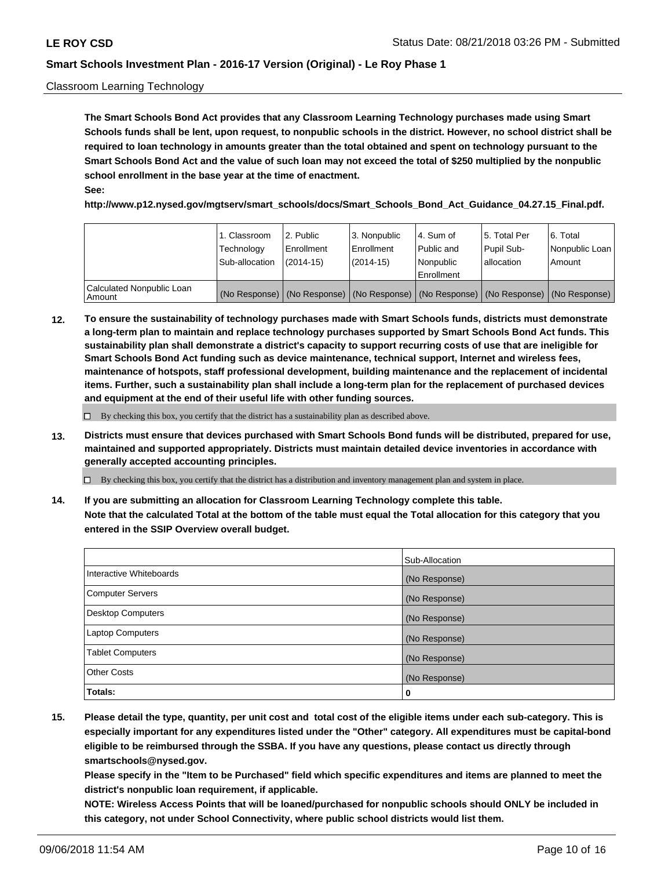### Classroom Learning Technology

**The Smart Schools Bond Act provides that any Classroom Learning Technology purchases made using Smart Schools funds shall be lent, upon request, to nonpublic schools in the district. However, no school district shall be required to loan technology in amounts greater than the total obtained and spent on technology pursuant to the Smart Schools Bond Act and the value of such loan may not exceed the total of \$250 multiplied by the nonpublic school enrollment in the base year at the time of enactment. See:**

**http://www.p12.nysed.gov/mgtserv/smart\_schools/docs/Smart\_Schools\_Bond\_Act\_Guidance\_04.27.15\_Final.pdf.**

|                                       | 1. Classroom<br>Technology<br>Sub-allocation | 2. Public<br>l Enrollment<br>$(2014-15)$ | l 3. Nonpublic<br>l Enrollment<br>$(2014 - 15)$ | l 4. Sum of<br>Public and<br>l Nonpublic<br>Enrollment                                        | 15. Total Per<br>Pupil Sub-<br>l allocation | l 6. Total<br>Nonpublic Loan<br>Amount |
|---------------------------------------|----------------------------------------------|------------------------------------------|-------------------------------------------------|-----------------------------------------------------------------------------------------------|---------------------------------------------|----------------------------------------|
| Calculated Nonpublic Loan<br>l Amount |                                              |                                          |                                                 | (No Response)   (No Response)   (No Response)   (No Response)   (No Response)   (No Response) |                                             |                                        |

**12. To ensure the sustainability of technology purchases made with Smart Schools funds, districts must demonstrate a long-term plan to maintain and replace technology purchases supported by Smart Schools Bond Act funds. This sustainability plan shall demonstrate a district's capacity to support recurring costs of use that are ineligible for Smart Schools Bond Act funding such as device maintenance, technical support, Internet and wireless fees, maintenance of hotspots, staff professional development, building maintenance and the replacement of incidental items. Further, such a sustainability plan shall include a long-term plan for the replacement of purchased devices and equipment at the end of their useful life with other funding sources.**

 $\Box$  By checking this box, you certify that the district has a sustainability plan as described above.

**13. Districts must ensure that devices purchased with Smart Schools Bond funds will be distributed, prepared for use, maintained and supported appropriately. Districts must maintain detailed device inventories in accordance with generally accepted accounting principles.**

By checking this box, you certify that the district has a distribution and inventory management plan and system in place.

**14. If you are submitting an allocation for Classroom Learning Technology complete this table. Note that the calculated Total at the bottom of the table must equal the Total allocation for this category that you entered in the SSIP Overview overall budget.**

|                          | Sub-Allocation |
|--------------------------|----------------|
| Interactive Whiteboards  | (No Response)  |
| <b>Computer Servers</b>  | (No Response)  |
| <b>Desktop Computers</b> | (No Response)  |
| <b>Laptop Computers</b>  | (No Response)  |
| <b>Tablet Computers</b>  | (No Response)  |
| <b>Other Costs</b>       | (No Response)  |
| Totals:                  | 0              |

**15. Please detail the type, quantity, per unit cost and total cost of the eligible items under each sub-category. This is especially important for any expenditures listed under the "Other" category. All expenditures must be capital-bond eligible to be reimbursed through the SSBA. If you have any questions, please contact us directly through smartschools@nysed.gov.**

**Please specify in the "Item to be Purchased" field which specific expenditures and items are planned to meet the district's nonpublic loan requirement, if applicable.**

**NOTE: Wireless Access Points that will be loaned/purchased for nonpublic schools should ONLY be included in this category, not under School Connectivity, where public school districts would list them.**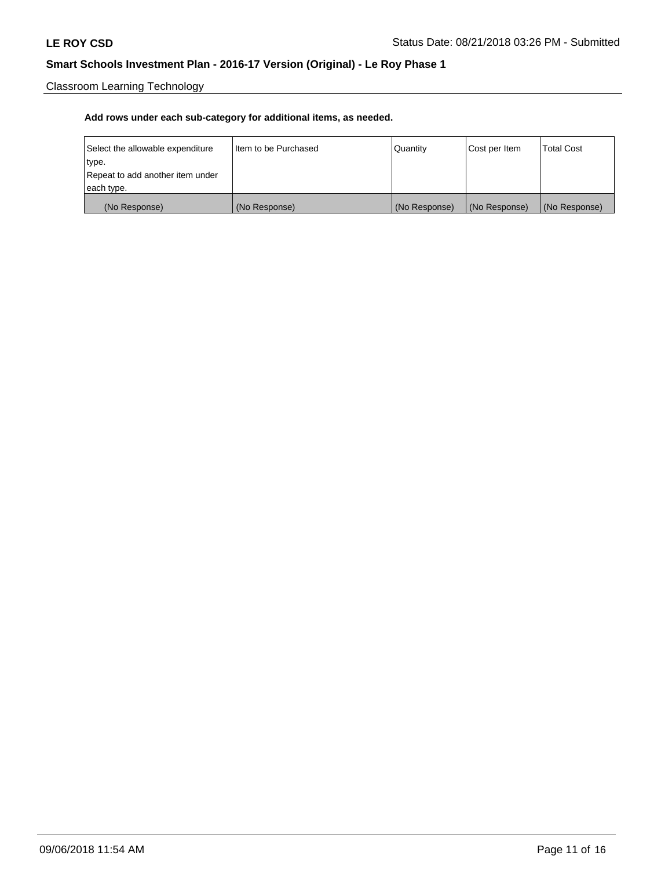Classroom Learning Technology

| Select the allowable expenditure | Iltem to be Purchased | Quantity      | Cost per Item | <b>Total Cost</b> |
|----------------------------------|-----------------------|---------------|---------------|-------------------|
| type.                            |                       |               |               |                   |
| Repeat to add another item under |                       |               |               |                   |
| each type.                       |                       |               |               |                   |
| (No Response)                    | (No Response)         | (No Response) | (No Response) | (No Response)     |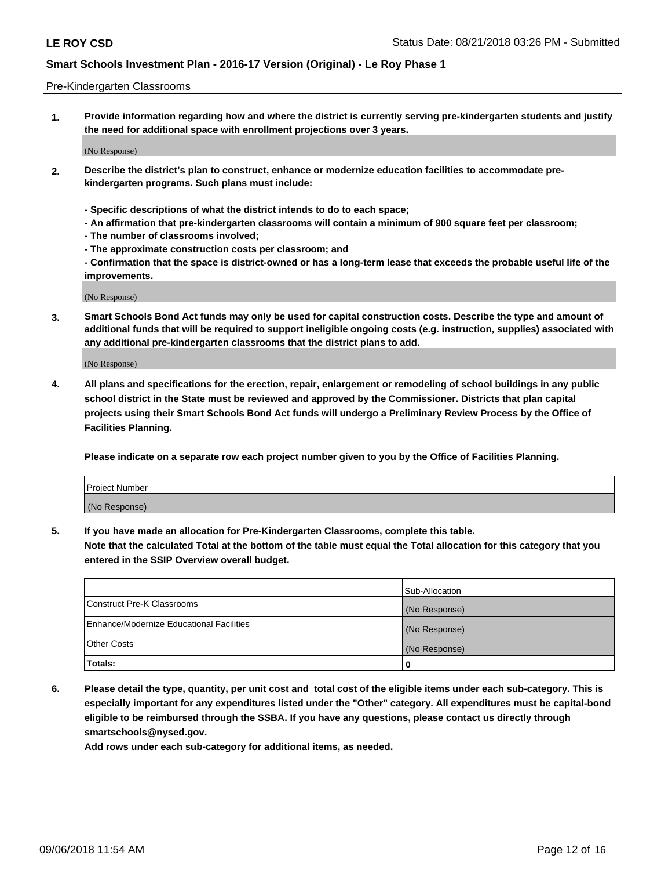#### Pre-Kindergarten Classrooms

**1. Provide information regarding how and where the district is currently serving pre-kindergarten students and justify the need for additional space with enrollment projections over 3 years.**

(No Response)

- **2. Describe the district's plan to construct, enhance or modernize education facilities to accommodate prekindergarten programs. Such plans must include:**
	- **Specific descriptions of what the district intends to do to each space;**
	- **An affirmation that pre-kindergarten classrooms will contain a minimum of 900 square feet per classroom;**
	- **The number of classrooms involved;**
	- **The approximate construction costs per classroom; and**
	- **Confirmation that the space is district-owned or has a long-term lease that exceeds the probable useful life of the improvements.**

(No Response)

**3. Smart Schools Bond Act funds may only be used for capital construction costs. Describe the type and amount of additional funds that will be required to support ineligible ongoing costs (e.g. instruction, supplies) associated with any additional pre-kindergarten classrooms that the district plans to add.**

(No Response)

**4. All plans and specifications for the erection, repair, enlargement or remodeling of school buildings in any public school district in the State must be reviewed and approved by the Commissioner. Districts that plan capital projects using their Smart Schools Bond Act funds will undergo a Preliminary Review Process by the Office of Facilities Planning.**

**Please indicate on a separate row each project number given to you by the Office of Facilities Planning.**

| Project Number |  |
|----------------|--|
| (No Response)  |  |
|                |  |

**5. If you have made an allocation for Pre-Kindergarten Classrooms, complete this table.**

**Note that the calculated Total at the bottom of the table must equal the Total allocation for this category that you entered in the SSIP Overview overall budget.**

|                                          | Sub-Allocation |
|------------------------------------------|----------------|
| Construct Pre-K Classrooms               | (No Response)  |
| Enhance/Modernize Educational Facilities | (No Response)  |
| <b>Other Costs</b>                       | (No Response)  |
| Totals:                                  | 0              |

**6. Please detail the type, quantity, per unit cost and total cost of the eligible items under each sub-category. This is especially important for any expenditures listed under the "Other" category. All expenditures must be capital-bond eligible to be reimbursed through the SSBA. If you have any questions, please contact us directly through smartschools@nysed.gov.**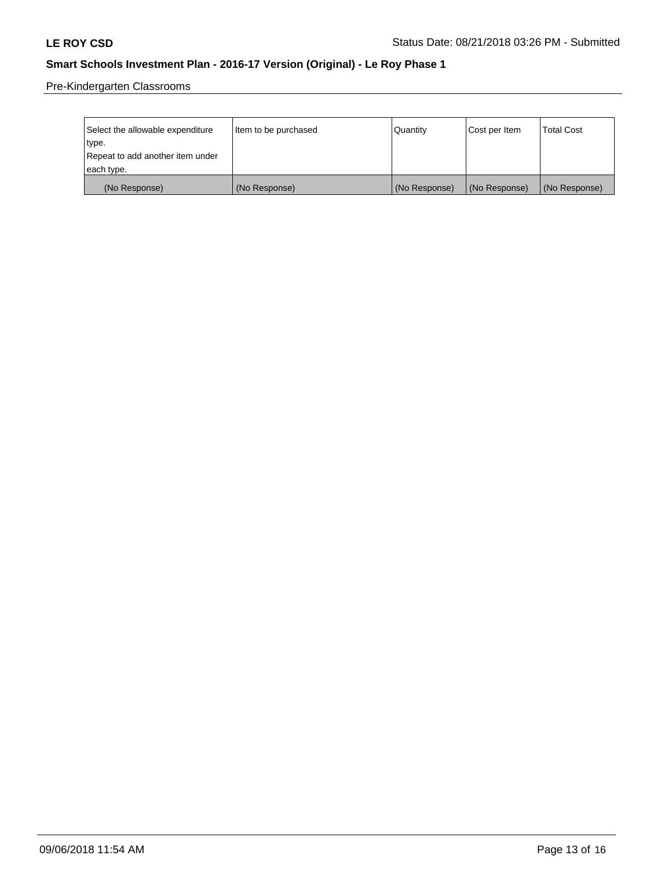Pre-Kindergarten Classrooms

| Select the allowable expenditure | Item to be purchased | Quantity      | Cost per Item | <b>Total Cost</b> |
|----------------------------------|----------------------|---------------|---------------|-------------------|
| type.                            |                      |               |               |                   |
| Repeat to add another item under |                      |               |               |                   |
| each type.                       |                      |               |               |                   |
| (No Response)                    | (No Response)        | (No Response) | (No Response) | (No Response)     |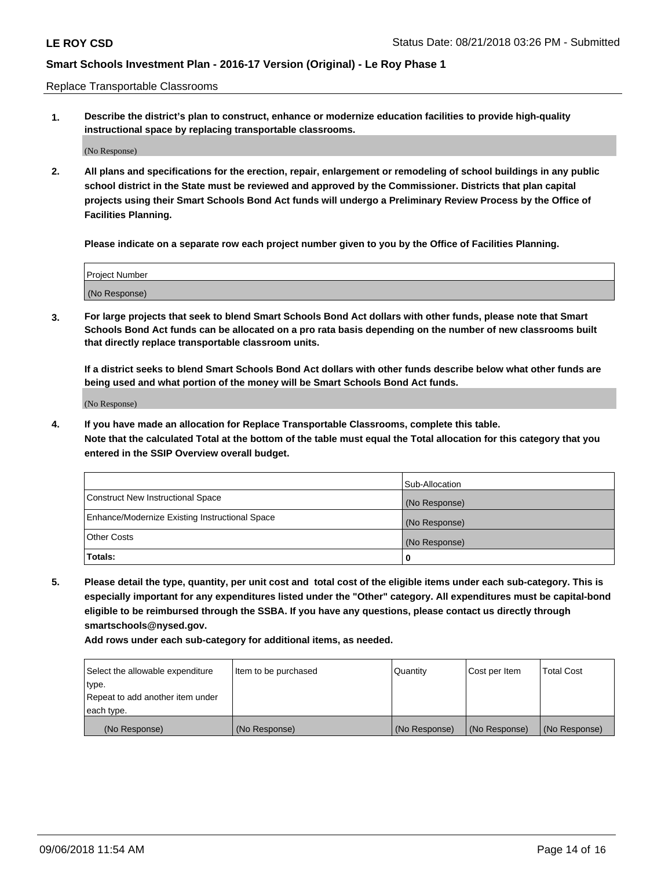Replace Transportable Classrooms

**1. Describe the district's plan to construct, enhance or modernize education facilities to provide high-quality instructional space by replacing transportable classrooms.**

(No Response)

**2. All plans and specifications for the erection, repair, enlargement or remodeling of school buildings in any public school district in the State must be reviewed and approved by the Commissioner. Districts that plan capital projects using their Smart Schools Bond Act funds will undergo a Preliminary Review Process by the Office of Facilities Planning.**

**Please indicate on a separate row each project number given to you by the Office of Facilities Planning.**

| Project Number |               |  |
|----------------|---------------|--|
|                |               |  |
|                |               |  |
|                | (No Response) |  |

**3. For large projects that seek to blend Smart Schools Bond Act dollars with other funds, please note that Smart Schools Bond Act funds can be allocated on a pro rata basis depending on the number of new classrooms built that directly replace transportable classroom units.**

**If a district seeks to blend Smart Schools Bond Act dollars with other funds describe below what other funds are being used and what portion of the money will be Smart Schools Bond Act funds.**

(No Response)

**4. If you have made an allocation for Replace Transportable Classrooms, complete this table. Note that the calculated Total at the bottom of the table must equal the Total allocation for this category that you entered in the SSIP Overview overall budget.**

|                                                | Sub-Allocation |
|------------------------------------------------|----------------|
| Construct New Instructional Space              | (No Response)  |
| Enhance/Modernize Existing Instructional Space | (No Response)  |
| <b>Other Costs</b>                             | (No Response)  |
| Totals:                                        | 0              |

**5. Please detail the type, quantity, per unit cost and total cost of the eligible items under each sub-category. This is especially important for any expenditures listed under the "Other" category. All expenditures must be capital-bond eligible to be reimbursed through the SSBA. If you have any questions, please contact us directly through smartschools@nysed.gov.**

| Select the allowable expenditure | Item to be purchased | l Quantitv    | Cost per Item | <b>Total Cost</b> |
|----------------------------------|----------------------|---------------|---------------|-------------------|
| type.                            |                      |               |               |                   |
| Repeat to add another item under |                      |               |               |                   |
| each type.                       |                      |               |               |                   |
| (No Response)                    | (No Response)        | (No Response) | (No Response) | (No Response)     |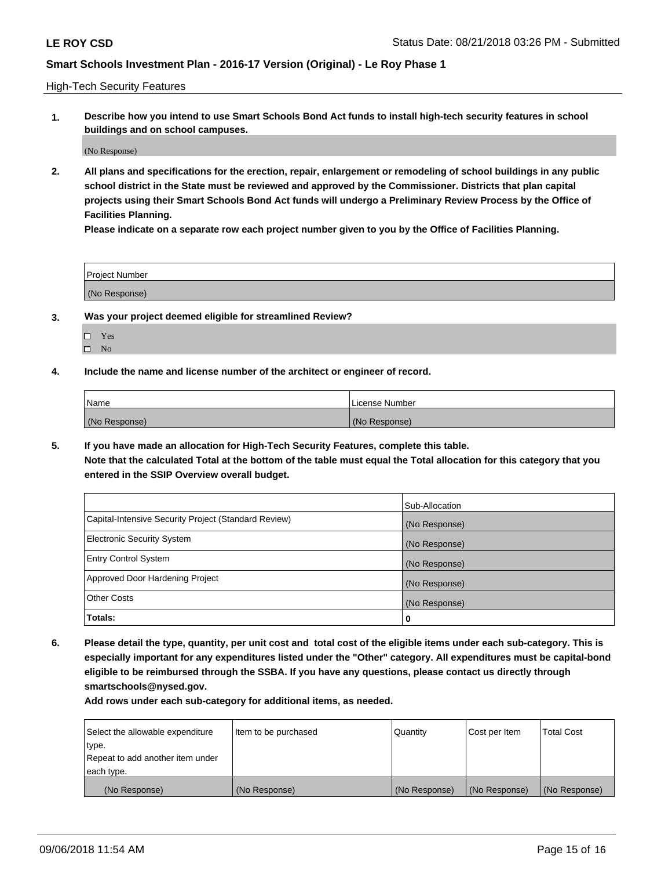High-Tech Security Features

**1. Describe how you intend to use Smart Schools Bond Act funds to install high-tech security features in school buildings and on school campuses.**

(No Response)

**2. All plans and specifications for the erection, repair, enlargement or remodeling of school buildings in any public school district in the State must be reviewed and approved by the Commissioner. Districts that plan capital projects using their Smart Schools Bond Act funds will undergo a Preliminary Review Process by the Office of Facilities Planning.** 

**Please indicate on a separate row each project number given to you by the Office of Facilities Planning.**

| <b>Project Number</b> |  |
|-----------------------|--|
| (No Response)         |  |

- **3. Was your project deemed eligible for streamlined Review?**
	- Yes
	- $\square$  No
- **4. Include the name and license number of the architect or engineer of record.**

| Name          | License Number |
|---------------|----------------|
| (No Response) | (No Response)  |

**5. If you have made an allocation for High-Tech Security Features, complete this table.**

**Note that the calculated Total at the bottom of the table must equal the Total allocation for this category that you entered in the SSIP Overview overall budget.**

|                                                      | Sub-Allocation |
|------------------------------------------------------|----------------|
| Capital-Intensive Security Project (Standard Review) | (No Response)  |
| <b>Electronic Security System</b>                    | (No Response)  |
| <b>Entry Control System</b>                          | (No Response)  |
| Approved Door Hardening Project                      | (No Response)  |
| <b>Other Costs</b>                                   | (No Response)  |
| Totals:                                              | 0              |

**6. Please detail the type, quantity, per unit cost and total cost of the eligible items under each sub-category. This is especially important for any expenditures listed under the "Other" category. All expenditures must be capital-bond eligible to be reimbursed through the SSBA. If you have any questions, please contact us directly through smartschools@nysed.gov.**

| Select the allowable expenditure | Item to be purchased | Quantity      | Cost per Item | <b>Total Cost</b> |
|----------------------------------|----------------------|---------------|---------------|-------------------|
| type.                            |                      |               |               |                   |
| Repeat to add another item under |                      |               |               |                   |
| each type.                       |                      |               |               |                   |
| (No Response)                    | (No Response)        | (No Response) | (No Response) | (No Response)     |